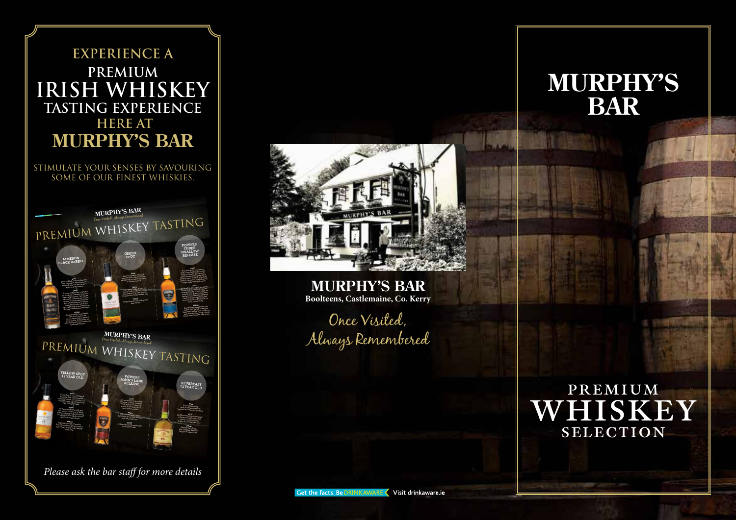### **EXPERIENCE A PREMIUM IRISH WHISKEY TASTING EXPERIENCE HERE AT MURPHY'S BAR**

STIMULATE YOUR SENSES BY SAVOURING SOME OF OUR FINEST WHISKIES.





*Please ask the bar staff for more details*



**MURPHY'S BAR Boolteens, Castlemaine, Co. Kerry**

Once Visited, Always Remembered

# **MURPHY'S BAR**

## PREMIUM whiskey **SELECTION**